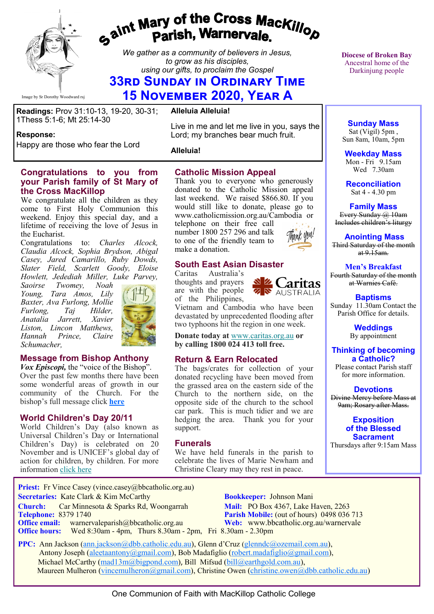

**Response:** 

# gaint Mary of the Cross Mackillop<br>Parish, Warnervale.

*We gather as a community of believers in Jesus, to grow as his disciples, using our gifts, to proclaim the Gospel*

## **33rd Sunday in Ordinary Time 15 November 2020, Year A**

**Readings:** Prov 31:10-13, 19-20, 30-31; 1Thess 5:1-6; Mt 25:14-30

Happy are those who fear the Lord

#### **Alleluia Alleluia!**

Live in me and let me live in you, says the Lord; my branches bear much fruit.

**Alleluia!**

#### **Congratulations to you from your Parish family of St Mary of the Cross MacKillop**

We congratulate all the children as they come to First Holy Communion this weekend. Enjoy this special day, and a lifetime of receiving the love of Jesus in the Eucharist.

Congratulations to: *Charles Alcock, Claudia Alcock, Sophia Brydson, Abigal Casey, Jared Camarillo, Ruby Dowds, Slater Field, Scarlett Goody, Eloise Howlett, Jedediah Miller, Luke Parvey,* 

*Saoirse Twomey, Noah Young, Tara Amos, Lily Baxter, Ava Furlong, Mollie Furlong, Taj Hilder, Anatalia Jarrett, Xavier Liston, Lincon Matthews, Hannah Prince, Claire Schumacher,*



#### **Message from Bishop Anthony**

*Vox Episcopi,* the "voice of the Bishop". Over the past few months there have been some wonderful areas of growth in our community of the Church. For the bishop's full message click **[here](https://bbcatholic.us8.list-manage.com/track/click?u=466af249e088db70ab864d088&id=27aa0e1570&e=e312df0f80)**

#### **World Children's Day 20/11**

World Children's Day (also known as Universal Children's Day or International Children's Day) is celebrated on 20 November and is UNICEF's global day of action for children, by children. For more information [click here](https://bbcatholic.us8.list-manage.com/track/click?u=466af249e088db70ab864d088&id=3e0c417880&e=e312df0f80)

#### **Catholic Mission Appeal**

Thank you to everyone who generously donated to the Catholic Mission appeal last weekend. We raised \$866.80. If you would still like to donate, please go to www.catholicmission.org.au/Cambodia or

telephone on their free call number 1800 257 296 and talk to one of the friendly team to make a donation.

#### **South East Asian Disaster**

Caritas Australia's thoughts and prayers are with the people of the Philippines,



Vietnam and Cambodia who have been devastated by unprecedented flooding after two typhoons hit the region in one week.

**Donate today at** [www.caritas.org.au](https://bbcatholic.us8.list-manage.com/track/click?u=466af249e088db70ab864d088&id=528efc73ad&e=e312df0f80) **or by calling 1800 024 413 toll free.** 

#### **Return & Earn Relocated**

The bags/crates for collection of your donated recycling have been moved from the grassed area on the eastern side of the Church to the northern side, on the opposite side of the church to the school car park. This is much tidier and we are hedging the area. Thank you for your support.

#### **Funerals**

We have held funerals in the parish to celebrate the lives of Marie Newham and Christine Cleary may they rest in peace.

**Diocese of Broken Bay**  Ancestral home of the Darkinjung people

**Sunday Mass** Sat (Vigil) 5pm , Sun 8am, 10am, 5pm

**Weekday Mass** Mon - Fri 9.15am Wed 7.30am

**Reconciliation** Sat 4 - 4.30 pm

**Family Mass**  Every Sunday @ 10am Includes children's liturgy

**Anointing Mass** Third Saturday of the month at  $9.15$ am.

**Men's Breakfast** Fourth Saturday of the month at Warnies Café.

**Baptisms** Sunday 11.30am Contact the Parish Office for details.

> **Weddings**  By appointment

**Thinking of becoming a Catholic?** Please contact Parish staff

for more information.

**Devotions** Divine Mercy before Mass at 9am; Rosary after Mass.

> **Exposition of the Blessed Sacrament**

Thursdays after 9:15am Mass

**Priest:** Fr Vince Casey (vince.casey@bbcatholic.org.au)  **Secretaries:** Kate Clark & Kim McCarthy **Bookkeeper:** Johnson Mani

**Office hours:** Wed 8:30am - 4pm, Thurs 8.30am - 2pm, Fri 8.30am - 2.30pm

**Church:** Car Minnesota & Sparks Rd, Woongarrah **Mail:** PO Box 4367, Lake Haven, 2263<br> **Telephone:** 8379 1740 **Parish Mobile:** (out of hours) 0498 036 **Parish Mobile:** (out of hours) 0498 036 713 **Office email:** warnervaleparish@bbcatholic.org.au **Web:** [www.bbcatholic.org.au/warnervale](https://www.bbcatholic.org.au/warnervale)

 **PPC:** Ann Jackson ([ann.jackson@dbb.catholic.edu.au\),](mailto:ann.jackson@dbb.catholic.edu.au) Glenn d'Cruz ([glenndc@ozemail.com.au\)](mailto:glenndc@ozemail.com.au), Antony Joseph ([aleetaantony@gmail.com\),](mailto:aleetaantony@gmail.com) Bob Madafiglio [\(robert.madafiglio@gmail.com\),](mailto:robert.madafiglio@gmail.com) Michael McCarthy ([mad13m@bigpond.com\)](mailto:mad13m@bigpond.com), Bill Mifsud ([bill@earthgold.com.au\),](mailto:bill@earthgold.com.au) Maureen Mulheron ([vincemulheron@gmail.com\)](mailto:vincemulheron@gmail.com), Christine Owen (christine.owen[@dbb.catholic.edu.au\)](mailto:ann.jackson@dbb.catholic.edu.au)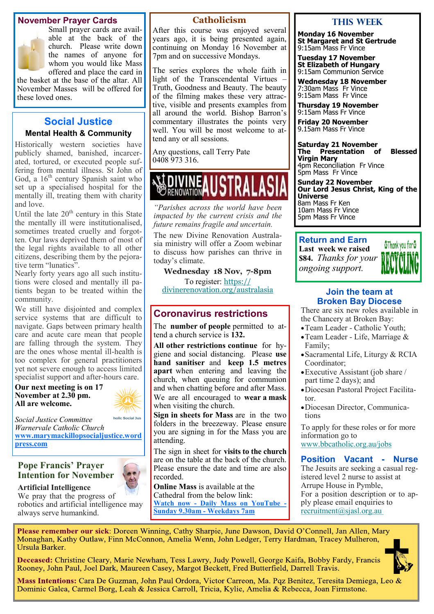#### **November Prayer Cards**



Small prayer cards are available at the back of the church. Please write down the names of anyone for whom you would like Mass offered and place the card in

the basket at the base of the altar. All November Masses will be offered for these loved ones.

#### **Social Justice**

#### **Mental Health & Community**

Historically western societies have publicly shamed, banished, incarcerated, tortured, or executed people suffering from mental illness. St John of God, a 16<sup>th</sup> century Spanish saint who set up a specialised hospital for the mentally ill, treating them with charity and love.

Until the late  $20<sup>th</sup>$  century in this State the mentally ill were institutionalised, sometimes treated cruelly and forgotten. Our laws deprived them of most of the legal rights available to all other citizens, describing them by the pejorative term "lunatics".

Nearly forty years ago all such institutions were closed and mentally ill patients began to be treated within the community.

We still have disjointed and complex service systems that are difficult to navigate. Gaps between primary health care and acute care mean that people are falling through the system. They are the ones whose mental ill-health is too complex for general practitioners yet not severe enough to access limited specialist support and after-hours care.

**Our next meeting is on 17 November at 2.30 pm. All are welcome.**



*Social Justice Committee Warnervale Catholic Church*  **[www.marymackillopsocialjustice.word](http://www.marymackillopsocialjustice.wordpress.com) [press.com](http://www.marymackillopsocialjustice.wordpress.com)**

#### **Pope Francis' Prayer Intention for November**

**Artificial Intelligence**

We pray that the progress of robotics and artificial intelligence may always serve humankind.

#### **Catholicism**

After this course was enjoyed several years ago, it is being presented again, continuing on Monday 16 November at 7pm and on successive Mondays.

The series explores the whole faith in light of the Transcendental Virtues – Truth, Goodness and Beauty. The beauty of the filming makes these very attractive, visible and presents examples from all around the world. Bishop Barron's commentary illustrates the points very well. You will be most welcome to attend any or all sessions.

Any questions, call Terry Pate 0408 973 316.

## RENOVATION

*"Parishes across the world have been impacted by the current crisis and the future remains fragile and uncertain.* 

The new Divine Renovation Australasia ministry will offer a Zoom webinar to discuss how parishes can thrive in today's climate.

**Wednesday 18 Nov, 7-8pm** To register: [https://](https://bbcatholic.us8.list-manage.com/track/click?u=466af249e088db70ab864d088&id=9e15ee5761&e=e312df0f80)

[divinerenovation.org/australasia](https://bbcatholic.us8.list-manage.com/track/click?u=466af249e088db70ab864d088&id=9e15ee5761&e=e312df0f80)

#### **Coronavirus restrictions**

The **number of people** permitted to attend a church service is **132.** 

**All other restrictions continue** for hygiene and social distancing. Please **use hand sanitiser** and **keep 1.5 metres apart** when entering and leaving the church, when queuing for communion and when chatting before and after Mass. We are all encouraged to **wear a mask**  when visiting the church.

**Sign in sheets for Mass** are in the two folders in the breezeway. Please ensure you are signing in for the Mass you are attending.

The sign in sheet for **visits to the church**  are on the table at the back of the church. Please ensure the date and time are also recorded.

**Online Mass** is available at the Cathedral from the below link: **Watch now - [Daily Mass on YouTube](https://www.youtube.com/channel/UCNenwlfI7i14XB9TsVBrLvQ/) - [Sunday 9.30am](https://www.youtube.com/channel/UCNenwlfI7i14XB9TsVBrLvQ/) - Weekdays 7am**

#### **This WeeK**

**Monday 16 November St Margaret and St Gertrude** 9:15am Mass Fr Vince

**Tuesday 17 November St Elizabeth of Hungary** 9:15am Communion Service

**Wednesday 18 November** 7:30am Mass Fr Vince 9:15am Mass Fr Vince

**Thursday 19 November** 9:15am Mass Fr Vince

**Friday 20 November** 9.15am Mass Fr Vince

**Saturday 21 November The Presentation of Blessed Virgin Mary** 4pm Reconciliation Fr Vince 5pm Mass Fr Vince

**Sunday 22 November Our Lord Jesus Christ, King of the Universe** 8am Mass Fr Ken 10am Mass Fr Vince 5pm Mass Fr Vince

#### **Return and Earn Last week we raised \$84.** *Thanks for your ongoing support.*



#### **Join the team at Broken Bay Diocese**

There are six new roles available in the Chancery at Broken Bay:

- •Team Leader Catholic Youth;
- •Team Leader Life, Marriage & Family;
- •Sacramental Life, Liturgy & RCIA Coordinator;
- •Executive Assistant (job share / part time 2 days); and
- •Diocesan Pastoral Project Facilitator.
- •Diocesan Director, Communications

To apply for these roles or for more information go to [www.bbcatholic.org.au/jobs](https://bbcatholic.us8.list-manage.com/track/click?u=466af249e088db70ab864d088&id=9ad198b2f9&e=e312df0f80)

**Position Vacant - Nurse** The Jesuits are seeking a casual registered level 2 nurse to assist at Arrupe House in Pymble, For a position description or to apply please email enquiries to [recruitment@sjasl.org.au](mailto:recruitment@sjasl.org.au )

Please remember our sick: Doreen Winning, Cathy Sharpie, June Dawson, David O'Connell, Jan Allen, Mary Monaghan, Kathy Outlaw, Finn McConnon, Amelia Wenn, John Ledger, Terry Hardman, Tracey Mulheron, Ursula Barker.

Deceased: Christine Cleary, Marie Newham, Tess Lawry, Judy Powell, George Kaifa, Bobby Fardy, Francis Rooney, John Paul, Joel Dark, Maureen Casey, Margot Beckett, Fred Butterfield, Darrell Travis.



Mass Intentions: Cara De Guzman, John Paul Ordora, Victor Carreon, Ma. Pqz Benitez, Teresita Demiega, Leo & Dominic Galea, Carmel Borg, Leah & Jessica Carroll, Tricia, Kylie, Amelia & Rebecca, Joan Firmstone.

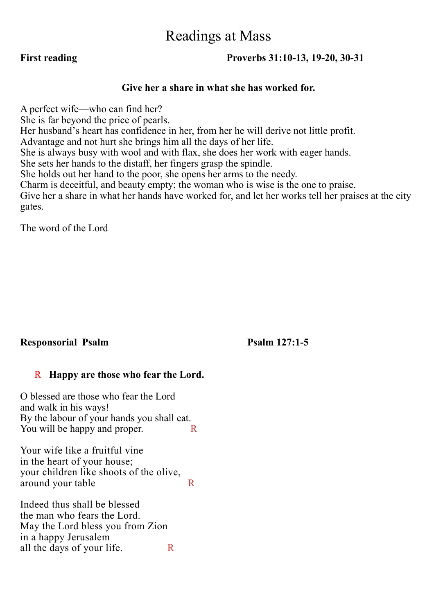## Readings at Mass

#### **First reading Proverbs 31:10-13, 19-20, 30-31**

#### **Give her a share in what she has worked for.**

A perfect wife—who can find her? She is far beyond the price of pearls. Her husband's heart has confidence in her, from her he will derive not little profit. Advantage and not hurt she brings him all the days of her life. She is always busy with wool and with flax, she does her work with eager hands. She sets her hands to the distaff, her fingers grasp the spindle. She holds out her hand to the poor, she opens her arms to the needy. Charm is deceitful, and beauty empty; the woman who is wise is the one to praise. Give her a share in what her hands have worked for, and let her works tell her praises at the city gates.

The word of the Lord

### **Responsorial Psalm Psalm 127:1-5**

#### R **Happy are those who fear the Lord.**

O blessed are those who fear the Lord and walk in his ways! By the labour of your hands you shall eat. You will be happy and proper.

Your wife like a fruitful vine in the heart of your house; your children like shoots of the olive, around your table R

Indeed thus shall be blessed the man who fears the Lord. May the Lord bless you from Zion in a happy Jerusalem all the days of your life.  $R$